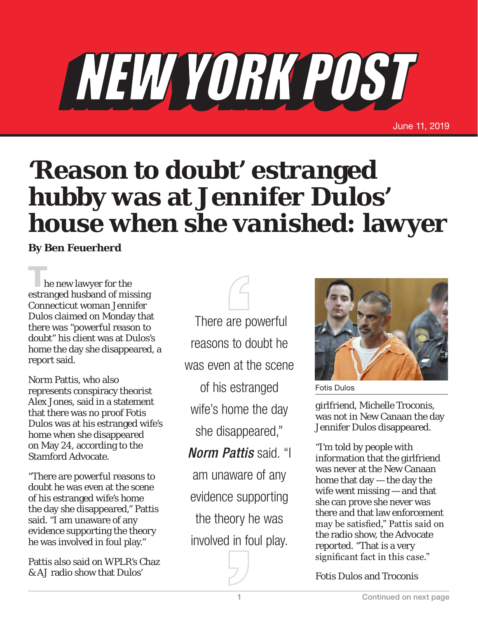## NEW YORK POST

June 11, 2019

## **'Reason to doubt' estranged hubby was at Jennifer Dulos' house when she vanished: lawyer**

**By Ben Feuerherd**

**T**he new lawyer for the estranged husband of missing Connecticut woman Jennifer Dulos claimed on Monday that there was "powerful reason to doubt" his client was at Dulos's home the day she disappeared, a report said.

Norm Pattis, who also represents conspiracy theorist Alex Jones, said in a statement that there was no proof Fotis Dulos was at his estranged wife's home when she disappeared on May 24, according to the Stamford Advocate.

"There are powerful reasons to doubt he was even at the scene of his estranged wife's home the day she disappeared," Pattis said. "I am unaware of any evidence supporting the theory he was involved in foul play."

Pattis also said on WPLR's Chaz & AJ radio show that Dulos'

 There are powerful reasons to doubt he was even at the scene of his estranged wife's home the day she disappeared," *Norm Pattis* said. "I am unaware of any

evidence supporting the theory he was involved in foul play.



Fotis Dulos

girlfriend, Michelle Troconis, was not in New Canaan the day Jennifer Dulos disappeared.

"I'm told by people with information that the girlfriend was never at the New Canaan home that day — the day the wife went missing — and that she can prove she never was there and that law enforcement may be satisfied," Pattis said on the radio show, the Advocate reported. "That is a very significant fact in this case."

Fotis Dulos and Troconis